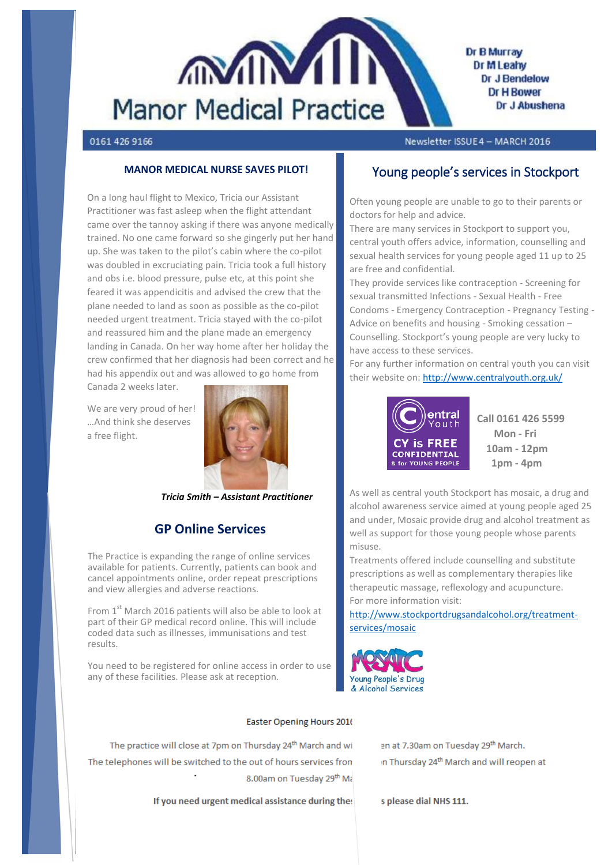

### 0161 426 9166

Newsletter ISSUE4 - MARCH 2016

### **MANOR MEDICAL NURSE SAVES PILOT!**

On a long haul flight to Mexico, Tricia our Assistant Practitioner was fast asleep when the flight attendant came over the tannoy asking if there was anyone medically trained. No one came forward so she gingerly put her hand up. She was taken to the pilot's cabin where the co-pilot was doubled in excruciating pain. Tricia took a full history and obs i.e. blood pressure, pulse etc, at this point she feared it was appendicitis and advised the crew that the plane needed to land as soon as possible as the co-pilot needed urgent treatment. Tricia stayed with the co-pilot and reassured him and the plane made an emergency landing in Canada. On her way home after her holiday the crew confirmed that her diagnosis had been correct and he had his appendix out and was allowed to go home from

Canada 2 weeks later.

We are very proud of her! …And think she deserves a free flight.



*Tricia Smith – Assistant Practitioner*

## **GP Online Services**

The Practice is expanding the range of online services available for patients. Currently, patients can book and cancel appointments online, order repeat prescriptions and view allergies and adverse reactions.

From  $1<sup>st</sup>$  March 2016 patients will also be able to look at part of their GP medical record online. This will include coded data such as illnesses, immunisations and test results.

You need to be registered for online access in order to use any of these facilities. Please ask at reception.

#### Easter Opening Hours 2016

The practice will close at 7pm on Thursday 24<sup>th</sup> March and wi The telephones will be switched to the out of hours services fron 8.00am on Tuesday 29th Ma

If you need urgent medical assistance during the:

### Young people's services in Stockport

Often young people are unable to go to their parents or doctors for help and advice.

There are many services in Stockport to support you, central youth offers advice, information, counselling and sexual health services for young people aged 11 up to 25 are free and confidential.

They provide services like contraception - Screening for sexual transmitted Infections - Sexual Health - Free Condoms - Emergency Contraception - Pregnancy Testing - Advice on benefits and housing - Smoking cessation – Counselling. Stockport's young people are very lucky to have access to these services.

For any further information on central youth you can visit their website on[: http://www.centralyouth.org.uk/](http://www.centralyouth.org.uk/)



 **Mon - Fri 10am - 12pm 1pm - 4pm**

As well as central youth Stockport has mosaic, a drug and alcohol awareness service aimed at young people aged 25 and under, Mosaic provide drug and alcohol treatment as well as support for those young people whose parents misuse.

Treatments offered include counselling and substitute prescriptions as well as complementary therapies like therapeutic massage, reflexology and acupuncture. For more information visit:

[http://www.stockportdrugsandalcohol.org/treatment](http://www.stockportdrugsandalcohol.org/treatment-services/mosaic)[services/mosaic](http://www.stockportdrugsandalcohol.org/treatment-services/mosaic)



en at 7.30am on Tuesday 29th March.

n Thursday 24<sup>th</sup> March and will reopen at

s please dial NHS 111.